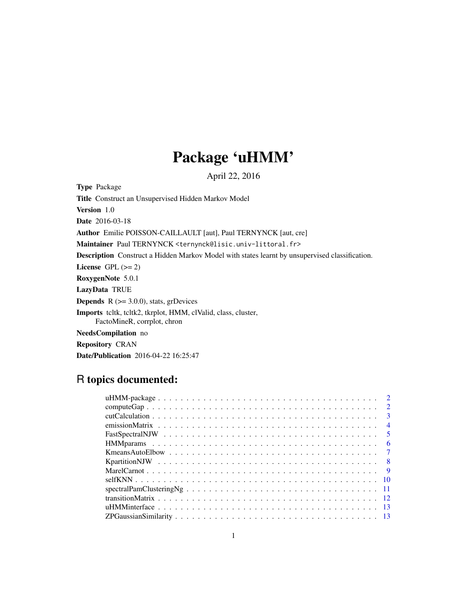# Package 'uHMM'

April 22, 2016

<span id="page-0-0"></span>Type Package

Title Construct an Unsupervised Hidden Markov Model

Version 1.0

Date 2016-03-18

Author Emilie POISSON-CAILLAULT [aut], Paul TERNYNCK [aut, cre]

Maintainer Paul TERNYNCK <ternynck@lisic.univ-littoral.fr>

Description Construct a Hidden Markov Model with states learnt by unsupervised classification.

License GPL  $(>= 2)$ 

RoxygenNote 5.0.1

LazyData TRUE

**Depends**  $R$  ( $>= 3.0.0$ ), stats, grDevices

Imports tcltk, tcltk2, tkrplot, HMM, clValid, class, cluster,

FactoMineR, corrplot, chron

NeedsCompilation no

Repository CRAN

Date/Publication 2016-04-22 16:25:47

# R topics documented:

| $\overline{2}$ |  |
|----------------|--|
| $\overline{2}$ |  |
| $\overline{3}$ |  |
| $\overline{4}$ |  |
| $\sqrt{5}$     |  |
| - 6            |  |
|                |  |
|                |  |
|                |  |
|                |  |
|                |  |
|                |  |
|                |  |
|                |  |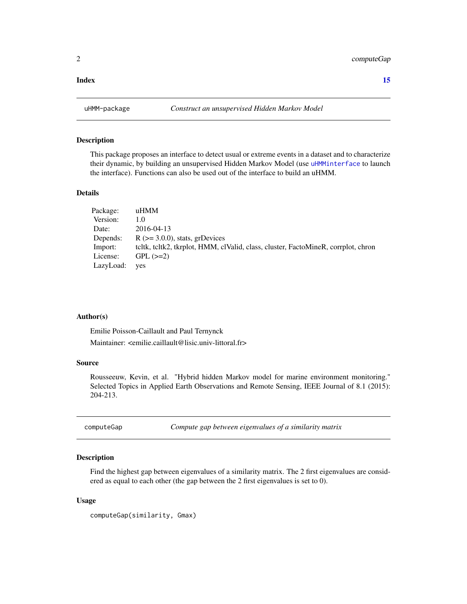#### <span id="page-1-0"></span>**Index** [15](#page-14-0)

#### Description

This package proposes an interface to detect usual or extreme events in a dataset and to characterize their dynamic, by building an unsupervised Hidden Markov Model (use [uHMMinterface](#page-12-1) to launch the interface). Functions can also be used out of the interface to build an uHMM.

#### Details

| Package:  | uHMM                                                                              |
|-----------|-----------------------------------------------------------------------------------|
| Version:  | 1.0                                                                               |
| Date:     | 2016-04-13                                                                        |
| Depends:  | $R$ ( $>=$ 3.0.0), stats, grDevices                                               |
| Import:   | teltk, teltk2, tkrplot, HMM, elValid, class, cluster, FactoMineR, corrplot, chron |
| License:  | $GPL$ $(>=2)$                                                                     |
| LazyLoad: | yes                                                                               |

#### Author(s)

Emilie Poisson-Caillault and Paul Ternynck Maintainer: <emilie.caillault@lisic.univ-littoral.fr>

#### Source

Rousseeuw, Kevin, et al. "Hybrid hidden Markov model for marine environment monitoring." Selected Topics in Applied Earth Observations and Remote Sensing, IEEE Journal of 8.1 (2015): 204-213.

computeGap *Compute gap between eigenvalues of a similarity matrix*

#### Description

Find the highest gap between eigenvalues of a similarity matrix. The 2 first eigenvalues are considered as equal to each other (the gap between the 2 first eigenvalues is set to 0).

#### Usage

computeGap(similarity, Gmax)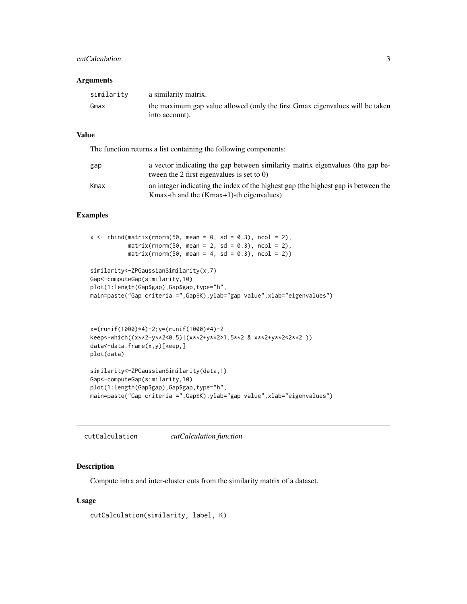#### <span id="page-2-0"></span>cutCalculation 3

#### Arguments

| similarity | a similarity matrix.                                                                           |
|------------|------------------------------------------------------------------------------------------------|
| Gmax       | the maximum gap value allowed (only the first Gmax eigenvalues will be taken<br>into account). |

#### Value

The function returns a list containing the following components:

| gap  | a vector indicating the gap between similarity matrix eigenvalues (the gap be-<br>tween the 2 first eigenvalues is set to $(0)$   |
|------|-----------------------------------------------------------------------------------------------------------------------------------|
| Kmax | an integer indicating the index of the highest gap (the highest gap is between the<br>Kmax-th and the $(Kmax+1)$ -th eigenvalues) |

#### Examples

```
x \le rbind(matrix(rnorm(50, mean = 0, sd = 0.3), ncol = 2),
           matrix(rnorm(50, mean = 2, sd = 0.3), ncol = 2),matrix(rnorm(50, mean = 4, sd = 0.3), ncol = 2))similarity<-ZPGaussianSimilarity(x,7)
Gap<-computeGap(similarity,10)
plot(1:length(Gap$gap),Gap$gap,type="h",
main=paste("Gap criteria =",Gap$K),ylab="gap value",xlab="eigenvalues")
```

```
x=(runif(1000)*4)-2;y=(runif(1000)*4)-2
keep<-which((x**2+y**2<0.5)|(x**2+y**2>1.5**2 & x**2+y**2<2**2 ))
data<-data.frame(x,y)[keep,]
plot(data)
similarity<-ZPGaussianSimilarity(data,1)
Gap<-computeGap(similarity,10)
plot(1:length(Gap$gap),Gap$gap,type="h",
```

```
main=paste("Gap criteria =",Gap$K),ylab="gap value",xlab="eigenvalues")
```
cutCalculation *cutCalculation function*

#### Description

Compute intra and inter-cluster cuts from the similarity matrix of a dataset.

#### Usage

```
cutCalculation(similarity, label, K)
```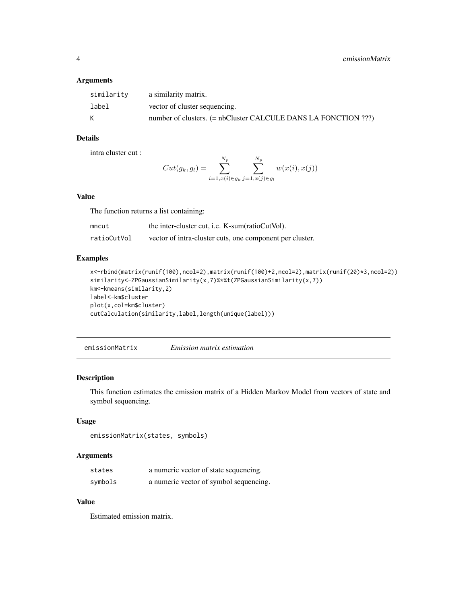#### <span id="page-3-0"></span>Arguments

| similarity | a similarity matrix.                                           |
|------------|----------------------------------------------------------------|
| label      | vector of cluster sequencing.                                  |
| K          | number of clusters. (= nbCluster CALCULE DANS LA FONCTION ???) |

# Details

intra cluster cut :

$$
Cut(g_k, g_l) = \sum_{i=1, x(i) \in g_k}^{N_p} \sum_{j=1, x(j) \in g_l}^{N_p} w(x(i), x(j))
$$

#### Value

The function returns a list containing:

| mncut       | the inter-cluster cut, <i>i.e.</i> K-sum(ratioCutVol).   |
|-------------|----------------------------------------------------------|
| ratioCutVol | vector of intra-cluster cuts, one component per cluster. |

#### Examples

```
x<-rbind(matrix(runif(100),ncol=2),matrix(runif(100)+2,ncol=2),matrix(runif(20)*3,ncol=2))
similarity<-ZPGaussianSimilarity(x,7)%*%t(ZPGaussianSimilarity(x,7))
km<-kmeans(similarity,2)
label<-km$cluster
plot(x,col=km$cluster)
cutCalculation(similarity,label,length(unique(label)))
```
<span id="page-3-1"></span>emissionMatrix *Emission matrix estimation*

#### Description

This function estimates the emission matrix of a Hidden Markov Model from vectors of state and symbol sequencing.

#### Usage

```
emissionMatrix(states, symbols)
```
#### Arguments

| states  | a numeric vector of state sequencing.  |
|---------|----------------------------------------|
| symbols | a numeric vector of symbol sequencing. |

#### Value

Estimated emission matrix.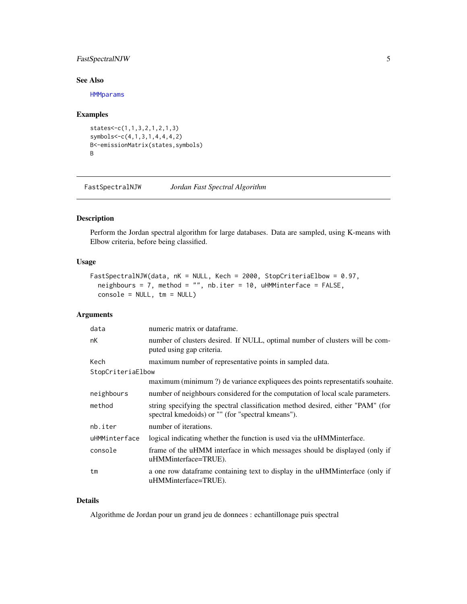#### <span id="page-4-0"></span>FastSpectralNJW 5

#### See Also

**[HMMparams](#page-5-1)** 

#### Examples

```
states<-c(1,1,3,2,1,2,1,3)
symbols<-c(4,1,3,1,4,4,4,2)
B<-emissionMatrix(states,symbols)
B
```
FastSpectralNJW *Jordan Fast Spectral Algorithm*

# Description

Perform the Jordan spectral algorithm for large databases. Data are sampled, using K-means with Elbow criteria, before being classified.

#### Usage

```
FastSpectralNJW(data, nK = NULL, Kech = 2000, StopCriteriaElbow = 0.97,
 neighbours = 7, method = "", nb.iter = 10, uHMMinterface = FALSE,
  console = NULL, tm = NULL)
```
### Arguments

| data              | numeric matrix or dataframe.                                                                                                         |
|-------------------|--------------------------------------------------------------------------------------------------------------------------------------|
| nK                | number of clusters desired. If NULL, optimal number of clusters will be com-<br>puted using gap criteria.                            |
| Kech              | maximum number of representative points in sampled data.                                                                             |
| StopCriteriaElbow |                                                                                                                                      |
|                   | maximum (minimum ?) de variance expliquees des points representatifs souhaite.                                                       |
| neighbours        | number of neighbours considered for the computation of local scale parameters.                                                       |
| method            | string specifying the spectral classification method desired, either "PAM" (for<br>spectral kmedoids) or "" (for "spectral kmeans"). |
| nb.iter           | number of iterations.                                                                                                                |
| uHMMinterface     | logical indicating whether the function is used via the uHMM interface.                                                              |
| console           | frame of the uHMM interface in which messages should be displayed (only if<br>uHMMinterface=TRUE).                                   |
| tm                | a one row dataframe containing text to display in the uHMMinterface (only if<br>uHMMinterface=TRUE).                                 |

#### Details

Algorithme de Jordan pour un grand jeu de donnees : echantillonage puis spectral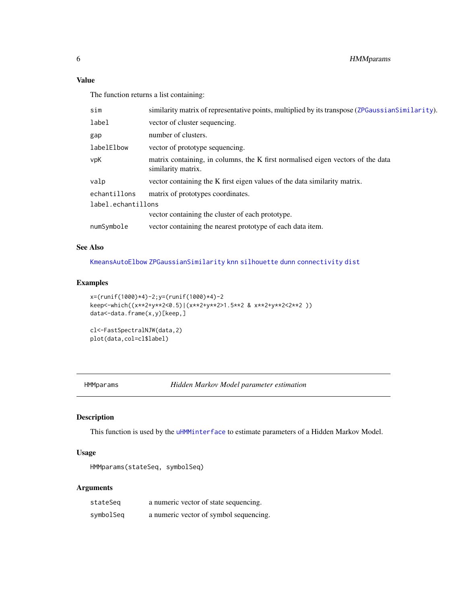# Value

The function returns a list containing:

| sim                | similarity matrix of representative points, multiplied by its transpose (ZPGaussianSimilarity).       |  |
|--------------------|-------------------------------------------------------------------------------------------------------|--|
| label              | vector of cluster sequencing.                                                                         |  |
| gap                | number of clusters.                                                                                   |  |
| labelElbow         | vector of prototype sequencing.                                                                       |  |
| vpK                | matrix containing, in columns, the K first normalised eigen vectors of the data<br>similarity matrix. |  |
| valp               | vector containing the K first eigen values of the data similarity matrix.                             |  |
| echantillons       | matrix of prototypes coordinates.                                                                     |  |
| label.echantillons |                                                                                                       |  |
|                    | vector containing the cluster of each prototype.                                                      |  |
| numSvmbole         | vector containing the nearest prototype of each data item.                                            |  |

#### See Also

[KmeansAutoElbow](#page-6-1) [ZPGaussianSimilarity](#page-12-2) [knn](#page-0-0) [silhouette](#page-0-0) [dunn](#page-0-0) [connectivity](#page-0-0) [dist](#page-0-0)

#### Examples

```
x=(runif(1000)*4)-2;y=(runif(1000)*4)-2
keep<-which((x**2+y**2<0.5)|(x**2+y**2>1.5**2 & x**2+y**2<2**2 ))
data<-data.frame(x,y)[keep,]
```

```
cl<-FastSpectralNJW(data,2)
plot(data,col=cl$label)
```
<span id="page-5-1"></span>HMMparams *Hidden Markov Model parameter estimation*

#### Description

This function is used by the [uHMMinterface](#page-12-1) to estimate parameters of a Hidden Markov Model.

#### Usage

HMMparams(stateSeq, symbolSeq)

#### Arguments

| stateSeg  | a numeric vector of state sequencing.  |
|-----------|----------------------------------------|
| symbolSeq | a numeric vector of symbol sequencing. |

<span id="page-5-0"></span>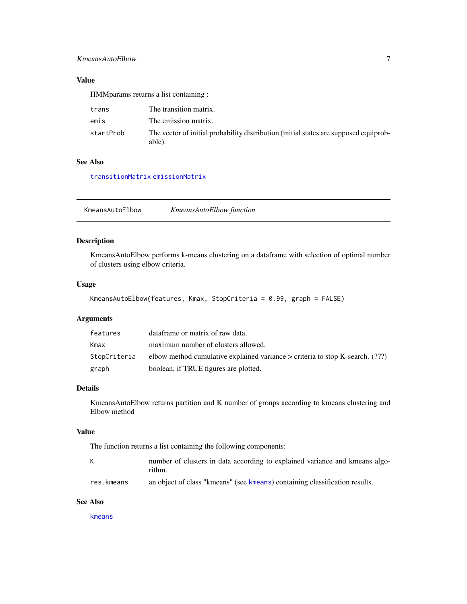#### <span id="page-6-0"></span>KmeansAutoElbow 7

#### Value

HMMparams returns a list containing :

| trans     | The transition matrix.                                                                          |
|-----------|-------------------------------------------------------------------------------------------------|
| emis      | The emission matrix.                                                                            |
| startProb | The vector of initial probability distribution (initial states are supposed equiprob-<br>able). |

#### See Also

[transitionMatrix](#page-11-1) [emissionMatrix](#page-3-1)

<span id="page-6-1"></span>KmeansAutoElbow *KmeansAutoElbow function*

#### Description

KmeansAutoElbow performs k-means clustering on a dataframe with selection of optimal number of clusters using elbow criteria.

#### Usage

KmeansAutoElbow(features, Kmax, StopCriteria = 0.99, graph = FALSE)

# Arguments

| features     | data frame or matrix of raw data.                                                  |
|--------------|------------------------------------------------------------------------------------|
| Kmax         | maximum number of clusters allowed.                                                |
| StopCriteria | elbow method cumulative explained variance $\geq$ criteria to stop K-search. (???) |
| graph        | boolean, if TRUE figures are plotted.                                              |

#### Details

KmeansAutoElbow returns partition and K number of groups according to kmeans clustering and Elbow method

#### Value

The function returns a list containing the following components:

| К          | number of clusters in data according to explained variance and kmeans algo- |
|------------|-----------------------------------------------------------------------------|
|            | rithm.                                                                      |
| res.kmeans | an object of class "kmeans" (see kmeans) containing classification results. |

#### See Also

[kmeans](#page-0-0)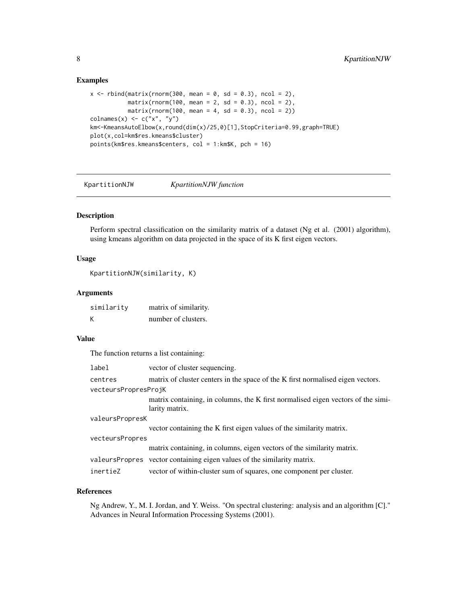#### Examples

```
x \le rbind(matrix(rnorm(300, mean = 0, sd = 0.3), ncol = 2),
           matrix(rnorm(100, mean = 2, sd = 0.3), ncol = 2),matrix( rnorm(100, mean = 4, sd = 0.3), ncol = 2))
\text{columns}(x) \leq c("x", "y")km<-KmeansAutoElbow(x,round(dim(x)/25,0)[1],StopCriteria=0.99,graph=TRUE)
plot(x,col=km$res.kmeans$cluster)
points(km$res.kmeans$centers, col = 1:km$K, pch = 16)
```
KpartitionNJW *KpartitionNJW function*

#### Description

Perform spectral classification on the similarity matrix of a dataset (Ng et al. (2001) algorithm), using kmeans algorithm on data projected in the space of its K first eigen vectors.

#### Usage

KpartitionNJW(similarity, K)

#### Arguments

| similarity | matrix of similarity. |
|------------|-----------------------|
| Κ          | number of clusters.   |

#### Value

The function returns a list containing:

| label                | vector of cluster sequencing.                                                                      |
|----------------------|----------------------------------------------------------------------------------------------------|
| centres              | matrix of cluster centers in the space of the K first normalised eigen vectors.                    |
| vecteursPropresProjK |                                                                                                    |
|                      | matrix containing, in columns, the K first normalised eigen vectors of the simi-<br>larity matrix. |
| valeursPropresK      |                                                                                                    |
|                      | vector containing the K first eigen values of the similarity matrix.                               |
| vecteursPropres      |                                                                                                    |
|                      | matrix containing, in columns, eigen vectors of the similarity matrix.                             |
|                      | valeursPropres vector containing eigen values of the similarity matrix.                            |
| inertieZ             | vector of within-cluster sum of squares, one component per cluster.                                |

#### References

Ng Andrew, Y., M. I. Jordan, and Y. Weiss. "On spectral clustering: analysis and an algorithm [C]." Advances in Neural Information Processing Systems (2001).

<span id="page-7-0"></span>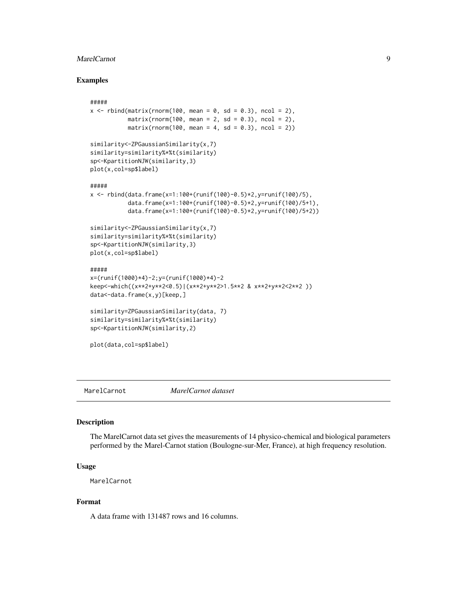#### <span id="page-8-0"></span>MarelCarnot 90 and 200 and 200 and 200 and 200 and 200 and 200 and 200 and 200 and 200 and 200 and 200 and 200

#### Examples

```
#####
x \le rbind(matrix(rnorm(100, mean = 0, sd = 0.3), ncol = 2),
          matrix(rnorm(100, mean = 2, sd = 0.3), ncol = 2),matrix(rnorm(100, mean = 4, sd = 0.3), ncol = 2))similarity<-ZPGaussianSimilarity(x,7)
similarity=similarity%*%t(similarity)
sp<-KpartitionNJW(similarity,3)
plot(x,col=sp$label)
#####
x < - rbind(data.frame(x=1:100+(runif(100)-0.5)*2,y=runif(100)/5),
           data.frame(x=1:100+(runif(100)-0.5)*2,y=runif(100)/5+1),
           data.frame(x=1:100+(runif(100)-0.5)*2,y=runif(100)/5+2))
similarity<-ZPGaussianSimilarity(x,7)
similarity=similarity%*%t(similarity)
sp<-KpartitionNJW(similarity,3)
plot(x,col=sp$label)
#####
x=(runif(1000)*4)-2;y=(runif(1000)*4)-2
keep<-which((x**2+y**2<0.5)|(x**2+y**2>1.5**2 & x**2+y**2<2**2 ))
data<-data.frame(x,y)[keep,]
similarity=ZPGaussianSimilarity(data, 7)
similarity=similarity%*%t(similarity)
sp<-KpartitionNJW(similarity,2)
plot(data,col=sp$label)
```
MarelCarnot *MarelCarnot dataset*

#### Description

The MarelCarnot data set gives the measurements of 14 physico-chemical and biological parameters performed by the Marel-Carnot station (Boulogne-sur-Mer, France), at high frequency resolution.

#### Usage

MarelCarnot

#### Format

A data frame with 131487 rows and 16 columns.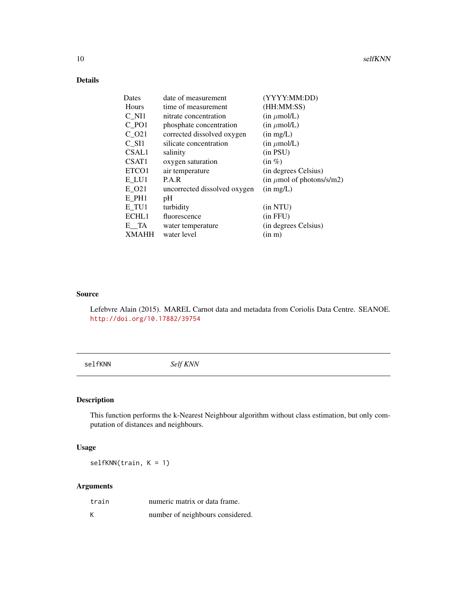# <span id="page-9-0"></span>Details

| Dates             | date of measurement          | (YYYY:MM:DD)                           |
|-------------------|------------------------------|----------------------------------------|
| Hours             | time of measurement          | (HH:MM:SS)                             |
| C NI1             | nitrate concentration        | $(in \mu \text{mol/L})$                |
| C PO1             | phosphate concentration      | $(in \mu \text{mol/L})$                |
| C 021             | corrected dissolved oxygen   | (in mg/L)                              |
| $C_$ $S11$        | silicate concentration       | $(in \mu \text{mol/L})$                |
| CSAL1             | salinity                     | $(in$ $PSU)$                           |
| CSAT <sub>1</sub> | oxygen saturation            | $(in \%)$                              |
| ETCO1             | air temperature              | (in degrees Celsius)                   |
| E_LU1             | P.A.R                        | $(in \mu mol \text{ of photons/s/m2})$ |
| E O21             | uncorrected dissolved oxygen | (in mg/L)                              |
| E PH1             | pH                           |                                        |
| E TU1             | turbidity                    | (in NTU)                               |
| ECHL1             | fluorescence                 | (in FFU)                               |
| $E_{\_}TA$        | water temperature            | (in degrees Celsius)                   |
| <b>XMAHH</b>      | water level                  | (in m)                                 |

#### Source

Lefebvre Alain (2015). MAREL Carnot data and metadata from Coriolis Data Centre. SEANOE. <http://doi.org/10.17882/39754>

selfKNN *Self KNN*

# Description

This function performs the k-Nearest Neighbour algorithm without class estimation, but only computation of distances and neighbours.

#### Usage

selfKNN(train, K = 1)

#### Arguments

| train | numeric matrix or data frame.    |
|-------|----------------------------------|
| Κ     | number of neighbours considered. |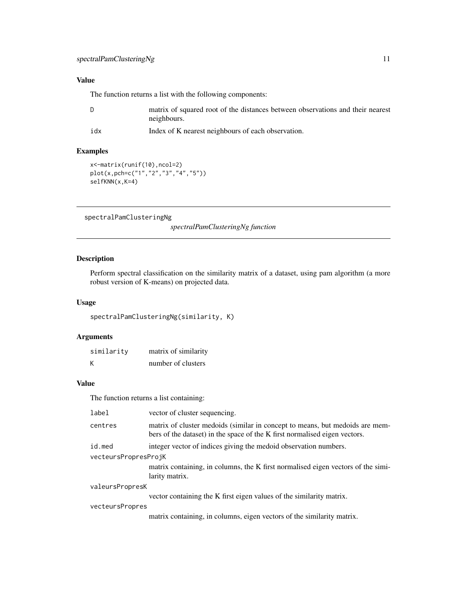### <span id="page-10-0"></span>Value

The function returns a list with the following components:

| matrix of squared root of the distances between observations and their nearest |
|--------------------------------------------------------------------------------|
| neighbours.                                                                    |
|                                                                                |

idx Index of K nearest neighbours of each observation.

#### Examples

```
x<-matrix(runif(10),ncol=2)
plot(x,pch=c("1","2","3","4","5"))
selfKNN(x,K=4)
```
spectralPamClusteringNg

*spectralPamClusteringNg function*

#### Description

Perform spectral classification on the similarity matrix of a dataset, using pam algorithm (a more robust version of K-means) on projected data.

#### Usage

spectralPamClusteringNg(similarity, K)

#### Arguments

| similaritv | matrix of similarity |
|------------|----------------------|
| Κ          | number of clusters   |

# Value

The function returns a list containing:

| label                | vector of cluster sequencing.                                                                                                                              |
|----------------------|------------------------------------------------------------------------------------------------------------------------------------------------------------|
| centres              | matrix of cluster medoids (similar in concept to means, but medoids are mem-<br>bers of the dataset) in the space of the K first normalised eigen vectors. |
| id.med               | integer vector of indices giving the medoid observation numbers.                                                                                           |
| vecteursPropresProjK |                                                                                                                                                            |
|                      | matrix containing, in columns, the K first normalised eigen vectors of the simi-<br>larity matrix.                                                         |
| valeursPropresK      |                                                                                                                                                            |
|                      | vector containing the K first eigen values of the similarity matrix.                                                                                       |
| vecteursPropres      |                                                                                                                                                            |
|                      | matrix containing, in columns, eigen vectors of the similarity matrix.                                                                                     |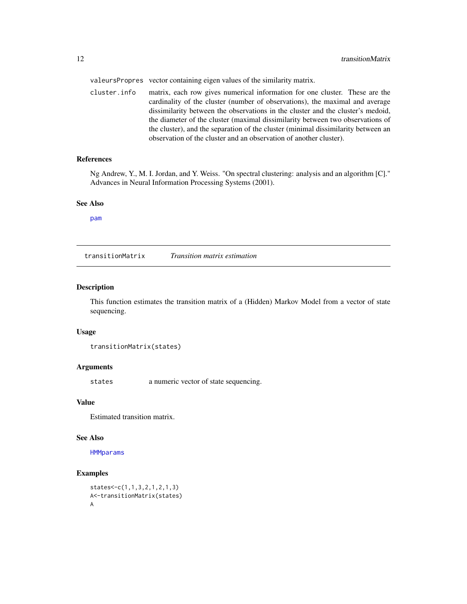<span id="page-11-0"></span>valeursPropres vector containing eigen values of the similarity matrix.

cluster.info matrix, each row gives numerical information for one cluster. These are the cardinality of the cluster (number of observations), the maximal and average dissimilarity between the observations in the cluster and the cluster's medoid, the diameter of the cluster (maximal dissimilarity between two observations of the cluster), and the separation of the cluster (minimal dissimilarity between an observation of the cluster and an observation of another cluster).

#### References

Ng Andrew, Y., M. I. Jordan, and Y. Weiss. "On spectral clustering: analysis and an algorithm [C]." Advances in Neural Information Processing Systems (2001).

#### See Also

[pam](#page-0-0)

<span id="page-11-1"></span>transitionMatrix *Transition matrix estimation*

#### Description

This function estimates the transition matrix of a (Hidden) Markov Model from a vector of state sequencing.

#### Usage

transitionMatrix(states)

#### Arguments

states a numeric vector of state sequencing.

#### Value

Estimated transition matrix.

#### See Also

**[HMMparams](#page-5-1)** 

#### Examples

```
states<-c(1,1,3,2,1,2,1,3)
A<-transitionMatrix(states)
A
```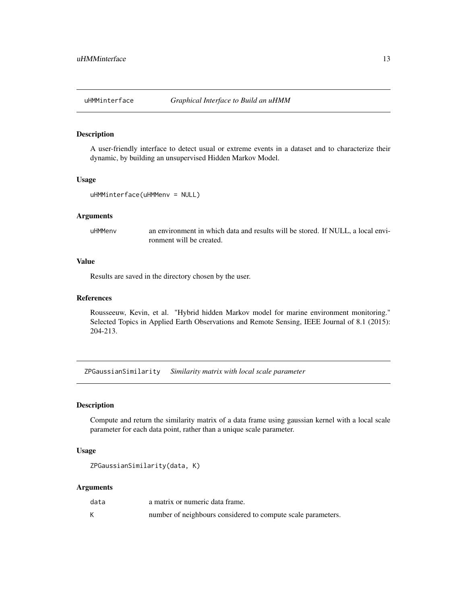<span id="page-12-1"></span><span id="page-12-0"></span>

#### Description

A user-friendly interface to detect usual or extreme events in a dataset and to characterize their dynamic, by building an unsupervised Hidden Markov Model.

#### Usage

```
uHMMinterface(uHMMenv = NULL)
```
#### Arguments

uHMMenv an environment in which data and results will be stored. If NULL, a local environment will be created.

#### Value

Results are saved in the directory chosen by the user.

#### References

Rousseeuw, Kevin, et al. "Hybrid hidden Markov model for marine environment monitoring." Selected Topics in Applied Earth Observations and Remote Sensing, IEEE Journal of 8.1 (2015): 204-213.

<span id="page-12-2"></span>ZPGaussianSimilarity *Similarity matrix with local scale parameter*

#### Description

Compute and return the similarity matrix of a data frame using gaussian kernel with a local scale parameter for each data point, rather than a unique scale parameter.

#### Usage

```
ZPGaussianSimilarity(data, K)
```
#### Arguments

| data | a matrix or numeric data frame.                              |
|------|--------------------------------------------------------------|
|      | number of neighbours considered to compute scale parameters. |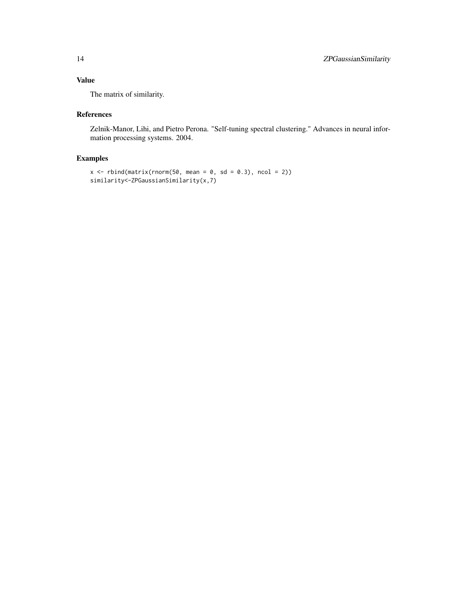# Value

The matrix of similarity.

#### References

Zelnik-Manor, Lihi, and Pietro Perona. "Self-tuning spectral clustering." Advances in neural information processing systems. 2004.

#### Examples

```
x \le rbind(matrix(rnorm(50, mean = 0, sd = 0.3), ncol = 2))
similarity<-ZPGaussianSimilarity(x,7)
```